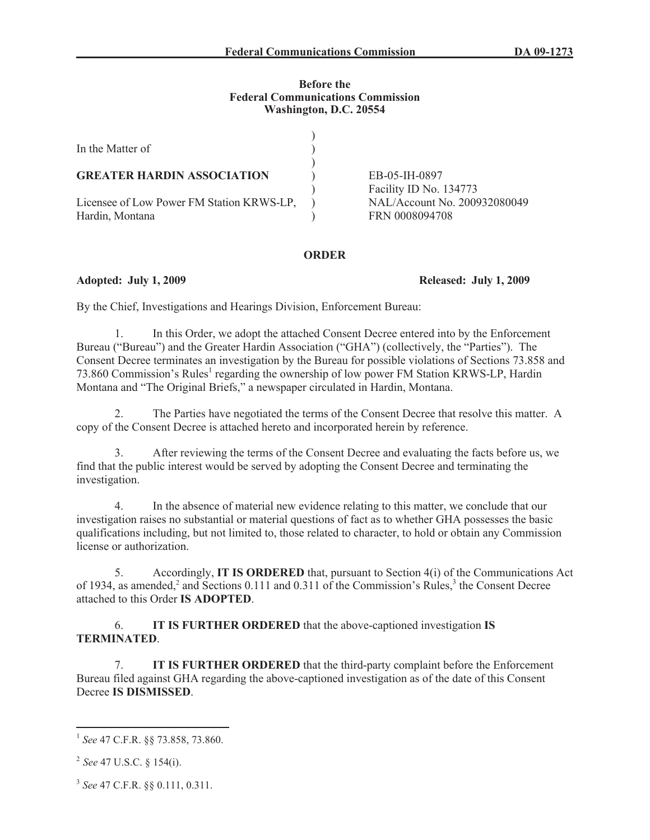## **Before the Federal Communications Commission Washington, D.C. 20554**

| In the Matter of                                             |                                                |
|--------------------------------------------------------------|------------------------------------------------|
| <b>GREATER HARDIN ASSOCIATION</b>                            | EB-05-IH-0897<br>Facility ID No. 134773        |
| Licensee of Low Power FM Station KRWS-LP,<br>Hardin, Montana | NAL/Account No. 200932080049<br>FRN 0008094708 |

## **ORDER**

**Adopted: July 1, 2009 Released: July 1, 2009**

By the Chief, Investigations and Hearings Division, Enforcement Bureau:

1. In this Order, we adopt the attached Consent Decree entered into by the Enforcement Bureau ("Bureau") and the Greater Hardin Association ("GHA") (collectively, the "Parties"). The Consent Decree terminates an investigation by the Bureau for possible violations of Sections 73.858 and 73.860 Commission's Rules<sup>1</sup> regarding the ownership of low power FM Station KRWS-LP, Hardin Montana and "The Original Briefs," a newspaper circulated in Hardin, Montana.

2. The Parties have negotiated the terms of the Consent Decree that resolve this matter. A copy of the Consent Decree is attached hereto and incorporated herein by reference.

3. After reviewing the terms of the Consent Decree and evaluating the facts before us, we find that the public interest would be served by adopting the Consent Decree and terminating the investigation.

4. In the absence of material new evidence relating to this matter, we conclude that our investigation raises no substantial or material questions of fact as to whether GHA possesses the basic qualifications including, but not limited to, those related to character, to hold or obtain any Commission license or authorization.

5. Accordingly, **IT IS ORDERED** that, pursuant to Section 4(i) of the Communications Act of 1934, as amended,<sup>2</sup> and Sections 0.111 and 0.311 of the Commission's Rules,<sup>3</sup> the Consent Decree attached to this Order **IS ADOPTED**.

6. **IT IS FURTHER ORDERED** that the above-captioned investigation **IS TERMINATED**.

7. **IT IS FURTHER ORDERED** that the third-party complaint before the Enforcement Bureau filed against GHA regarding the above-captioned investigation as of the date of this Consent Decree **IS DISMISSED**.

<sup>1</sup> *See* 47 C.F.R. §§ 73.858, 73.860.

<sup>2</sup> *See* 47 U.S.C. § 154(i).

<sup>3</sup> *See* 47 C.F.R. §§ 0.111, 0.311.